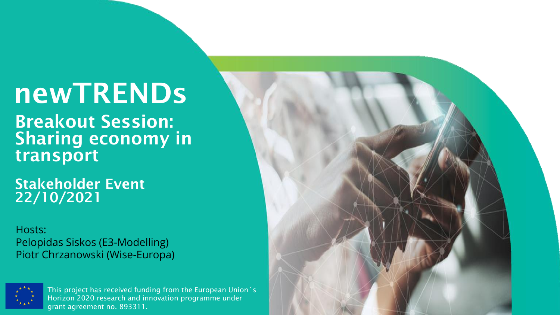# newTRENDs

Breakout Session: Sharing economy in transport

Stakeholder Event 22/10/2021

Hosts: Pelopidas Siskos (E3-Modelling) Piotr Chrzanowski (Wise-Europa)



This project has received funding from the European Union´s Horizon 2020 research and innovation programme under grant agreement no. 893311.

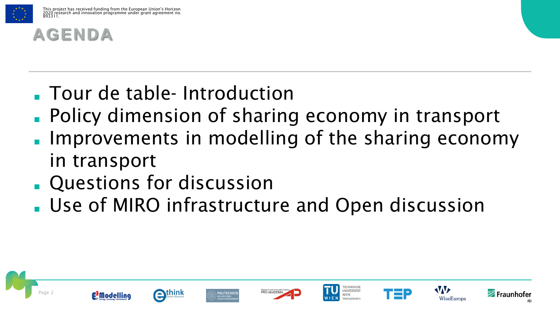

#### **AGENDA**

- Tour de table- Introduction
- Policy dimension of sharing economy in transport
- Improvements in modelling of the sharing economy in transport
- **Questions for discussion**
- Use of MIRO infrastructure and Open discussion















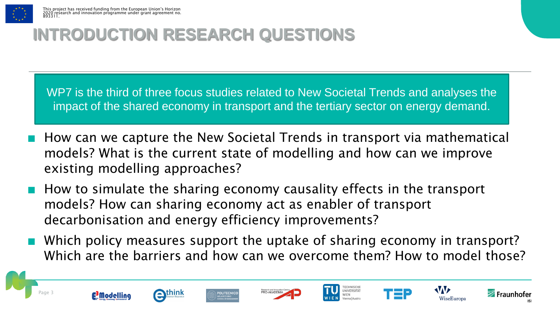

#### **INTRODUCTION RESEARCH QUESTIONS**

WP7 is the third of three focus studies related to New Societal Trends and analyses the impact of the shared economy in transport and the tertiary sector on energy demand.

- How can we capture the New Societal Trends in transport via mathematical models? What is the current state of modelling and how can we improve existing modelling approaches?
- How to simulate the sharing economy causality effects in the transport models? How can sharing economy act as enabler of transport decarbonisation and energy efficiency improvements?
- Which policy measures support the uptake of sharing economy in transport? Which are the barriers and how can we overcome them? How to model those?















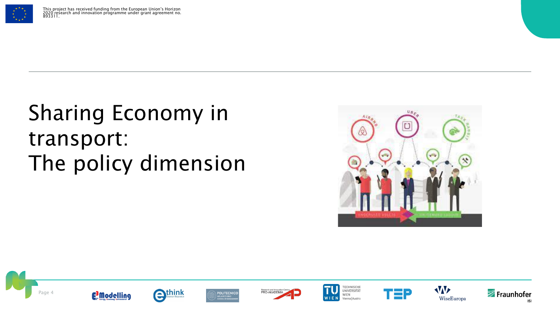

## Sharing Economy in transport: The policy dimension





















**ISI**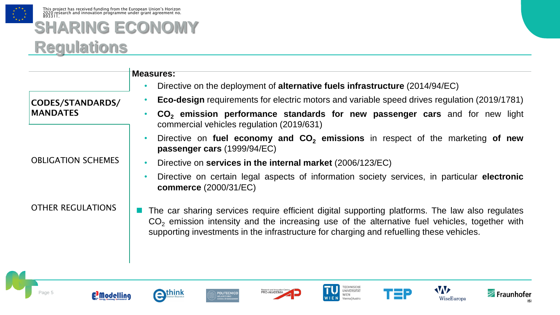

#### **SHARING ECONOMY Regulations**

|                                     | <b>Measures:</b>                                                                                                                                                                                                                                                                               |
|-------------------------------------|------------------------------------------------------------------------------------------------------------------------------------------------------------------------------------------------------------------------------------------------------------------------------------------------|
|                                     | Directive on the deployment of alternative fuels infrastructure (2014/94/EC)                                                                                                                                                                                                                   |
| CODES/STANDARDS/<br><b>MANDATES</b> | <b>Eco-design</b> requirements for electric motors and variable speed drives regulation (2019/1781)                                                                                                                                                                                            |
|                                     | CO <sub>2</sub> emission performance standards for new passenger cars and for new light<br>commercial vehicles regulation (2019/631)                                                                                                                                                           |
| <b>OBLIGATION SCHEMES</b>           | Directive on fuel economy and CO <sub>2</sub> emissions in respect of the marketing of new<br>passenger cars (1999/94/EC)                                                                                                                                                                      |
|                                     | Directive on services in the internal market (2006/123/EC)                                                                                                                                                                                                                                     |
|                                     | Directive on certain legal aspects of information society services, in particular electronic<br><b>commerce</b> (2000/31/EC)                                                                                                                                                                   |
| <b>OTHER REGULATIONS</b>            | The car sharing services require efficient digital supporting platforms. The law also regulates<br>$CO2$ emission intensity and the increasing use of the alternative fuel vehicles, together with<br>supporting investments in the infrastructure for charging and refuelling these vehicles. |

















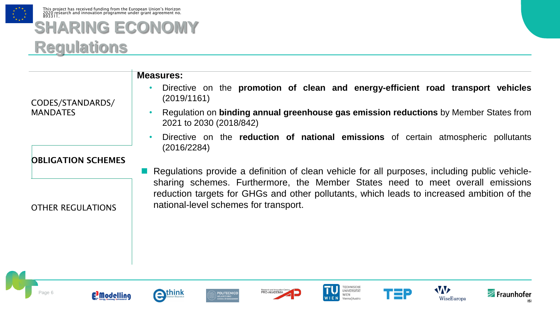

#### **SHARING ECONOMY Regulations**

CODES/STANDARDS/ **MANDATES** OBLIGATION SCHEMES **Measures:** • Directive on the **promotion of clean and energy-efficient road transport vehicles** (2019/1161) • Regulation on **binding annual greenhouse gas emission reductions** by Member States from 2021 to 2030 (2018/842) • Directive on the **reduction of national emissions** of certain atmospheric pollutants (2016/2284) Regulations provide a definition of clean vehicle for all purposes, including public vehiclesharing schemes. Furthermore, the Member States need to meet overall emissions reduction targets for GHGs and other pollutants, which leads to increased ambition of the national-level schemes for transport.



















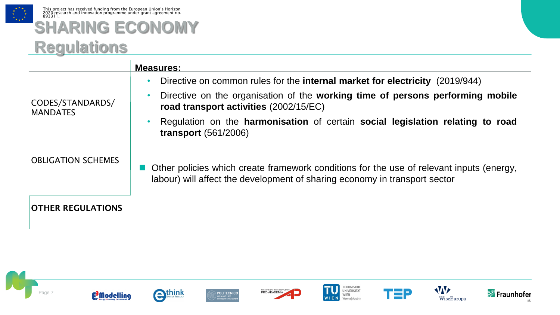

 $\mathbf{r}$ 

#### **SHARING ECONOMY Regulations**

|                                     | <b>Measures:</b>                                                                                                                                                       |
|-------------------------------------|------------------------------------------------------------------------------------------------------------------------------------------------------------------------|
| CODES/STANDARDS/<br><b>MANDATES</b> | Directive on common rules for the <b>internal market for electricity</b> (2019/944)<br>$\bullet$                                                                       |
|                                     | Directive on the organisation of the working time of persons performing mobile<br>$\bullet$<br>road transport activities (2002/15/EC)                                  |
|                                     | Regulation on the harmonisation of certain social legislation relating to road<br>$\bullet$<br>transport $(561/2006)$                                                  |
| <b>OBLIGATION SCHEMES</b>           | Other policies which create framework conditions for the use of relevant inputs (energy,<br>labour) will affect the development of sharing economy in transport sector |
| <b>OTHER REGULATIONS</b>            |                                                                                                                                                                        |
|                                     |                                                                                                                                                                        |
|                                     |                                                                                                                                                                        |
| <b>E</b> Modelling                  | ECHNISCHE<br>W<br>NIVERSITÄT<br>:hink<br>Fraunhofer<br><b>OLITECNICC</b><br>WiseEuropa<br>Vienna   Austria                                                             |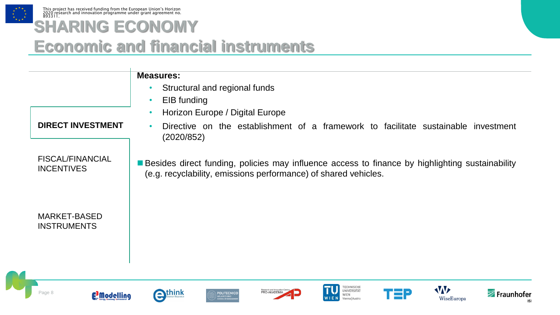

## **SHARING ECONOMY**

#### **Economic and financial instruments**

**Measures:**

- Structural and regional funds
- EIB funding

(2020/852)

• Horizon Europe / Digital Europe

#### **DIRECT INVESTMENT**

FISCAL/FINANCIAL INCENTIVES

■ Besides direct funding, policies may influence access to finance by highlighting sustainability (e.g. recyclability, emissions performance) of shared vehicles.

• Directive on the establishment of a framework to facilitate sustainable investment

MARKET-BASED INSTRUMENTS







**POLITECNICO** 









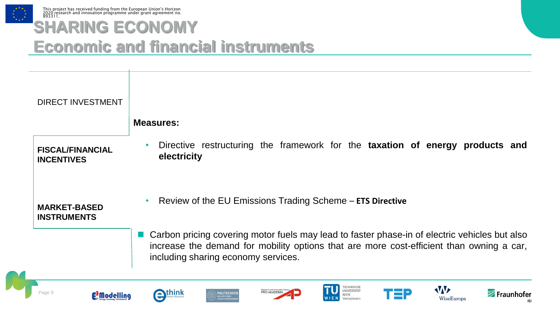

#### **SHARING ECONOMY Economic and financial instruments**

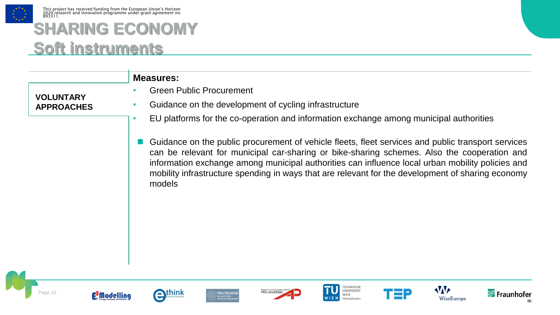

This project has received funding from the European Union's Horizon 2020 research and innovation programme under grant agreement no. 893311.

#### **SHARING ECONOMY Soft instruments**

| <b>VOLUNTARY</b><br><b>APPROACHES</b> | <b>Measures:</b><br><b>Green Public Procurement</b><br>Guidance on the development of cycling infrastructure<br>EU platforms for the co-operation and information exchange among municipal authorities<br>٠                                                                                                                                                                                                          |
|---------------------------------------|----------------------------------------------------------------------------------------------------------------------------------------------------------------------------------------------------------------------------------------------------------------------------------------------------------------------------------------------------------------------------------------------------------------------|
|                                       | Guidance on the public procurement of vehicle fleets, fleet services and public transport services<br>can be relevant for municipal car-sharing or bike-sharing schemes. Also the cooperation and<br>information exchange among municipal authorities can influence local urban mobility policies and<br>mobility infrastructure spending in ways that are relevant for the development of sharing economy<br>models |
| E <sup>3</sup> Modelling              | Fraunhofer<br>nınk<br><b>OLITECNIC</b><br>WiseEuropa                                                                                                                                                                                                                                                                                                                                                                 |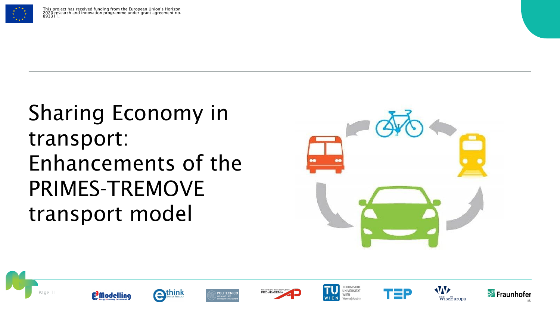

## Sharing Economy in transport: Enhancements of the PRIMES-TREMOVE transport model



















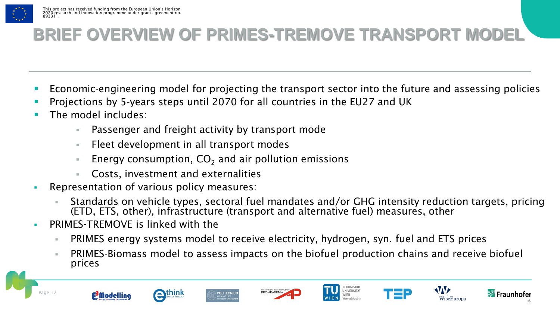

#### **BRIEF OVERVIEW OF PRIMES-TREMOVE TRANSPORT MODEL**

- Economic-engineering model for projecting the transport sector into the future and assessing policies
- Projections by 5-years steps until 2070 for all countries in the EU27 and UK
- The model includes:
	- Passenger and freight activity by transport mode
	- Fleet development in all transport modes
	- Energy consumption,  $CO<sub>2</sub>$  and air pollution emissions
	- Costs, investment and externalities
- Representation of various policy measures:
	- Standards on vehicle types, sectoral fuel mandates and/or GHG intensity reduction targets, pricing (ETD, ETS, other), infrastructure (transport and alternative fuel) measures, other
- **PRIMES-TREMOVE is linked with the** 
	- PRIMES energy systems model to receive electricity, hydrogen, syn. fuel and ETS prices
	- PRIMES-Biomass model to assess impacts on the biofuel production chains and receive biofuel prices















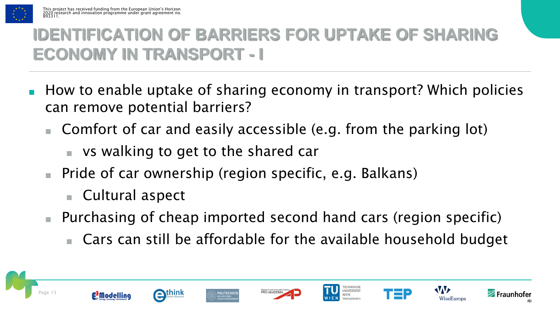

### **IDENTIFICATION OF BARRIERS FOR UPTAKE OF SHARING ECONOMY IN TRANSPORT - I**

- How to enable uptake of sharing economy in transport? Which policies can remove potential barriers?
	- Comfort of car and easily accessible (e.g. from the parking lot)
		- vs walking to get to the shared car
	- Pride of car ownership (region specific, e.g. Balkans)
		- Cultural aspect
	- Purchasing of cheap imported second hand cars (region specific)
		- Cars can still be affordable for the available household budget

















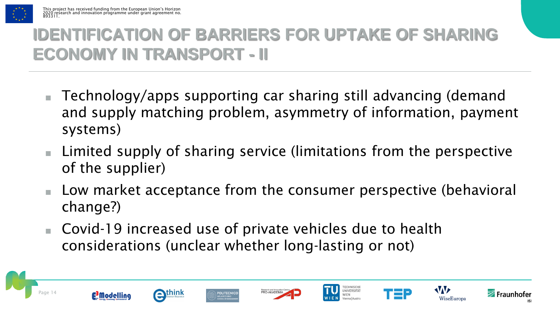

### **IDENTIFICATION OF BARRIERS FOR UPTAKE OF SHARING ECONOMY IN TRANSPORT - II**

- Technology/apps supporting car sharing still advancing (demand and supply matching problem, asymmetry of information, payment systems)
- Limited supply of sharing service (limitations from the perspective of the supplier)
- Low market acceptance from the consumer perspective (behavioral change?)
- Covid-19 increased use of private vehicles due to health considerations (unclear whether long-lasting or not)















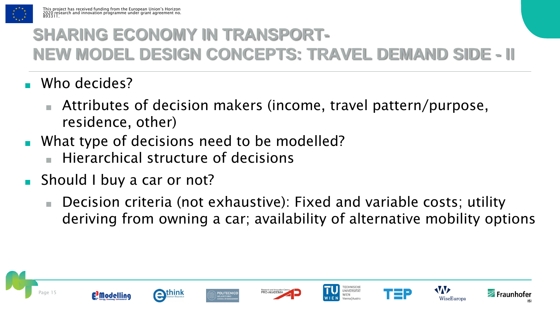

### **SHARING ECONOMY IN TRANSPORT-NEW MODEL DESIGN CONCEPTS: TRAVEL DEMAND SIDE - II**

- Who decides?
	- Attributes of decision makers (income, travel pattern/purpose, residence, other)
- What type of decisions need to be modelled?
	- Hierarchical structure of decisions
- Should I buy a car or not?
	- Decision criteria (not exhaustive): Fixed and variable costs; utility deriving from owning a car; availability of alternative mobility options

ECHNISCH

UNIVERSITÄT

**WIFN** Vienna | Austria





**AVAV** 

WiseEuropa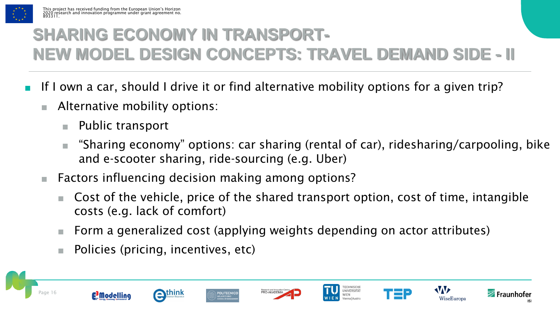

### **SHARING ECONOMY IN TRANSPORT-NEW MODEL DESIGN CONCEPTS: TRAVEL DEMAND SIDE - II**

- If I own a car, should I drive it or find alternative mobility options for a given trip?
	- Alternative mobility options:
		- Public transport
		- "Sharing economy" options: car sharing (rental of car), ridesharing/carpooling, bike and e-scooter sharing, ride-sourcing (e.g. Uber)
	- Factors influencing decision making among options?
		- Cost of the vehicle, price of the shared transport option, cost of time, intangible costs (e.g. lack of comfort)
		- Form a generalized cost (applying weights depending on actor attributes)
		- Policies (pricing, incentives, etc)















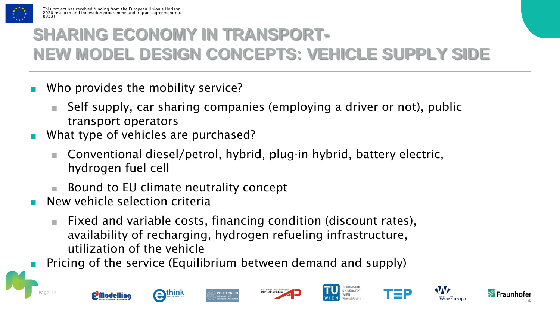

### **SHARING ECONOMY IN TRANSPORT-NEW MODEL DESIGN CONCEPTS: VEHICLE SUPPLY SIDE**

- Who provides the mobility service?
	- Self supply, car sharing companies (employing a driver or not), public transport operators
- What type of vehicles are purchased?
	- Conventional diesel/petrol, hybrid, plug-in hybrid, battery electric, hydrogen fuel cell
	- Bound to EU climate neutrality concept
- New vehicle selection criteria
	- Fixed and variable costs, financing condition (discount rates), availability of recharging, hydrogen refueling infrastructure, utilization of the vehicle
- Pricing of the service (Equilibrium between demand and supply)

**POLITECNICC** 















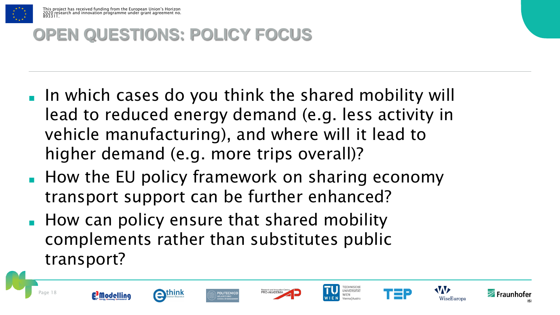

#### **OPEN QUESTIONS: POLICY FOCUS**

- In which cases do you think the shared mobility will lead to reduced energy demand (e.g. less activity in vehicle manufacturing), and where will it lead to higher demand (e.g. more trips overall)?
- How the EU policy framework on sharing economy transport support can be further enhanced?
- How can policy ensure that shared mobility complements rather than substitutes public transport?

















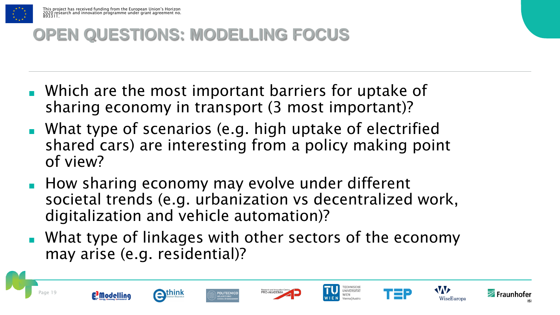

#### **OPEN QUESTIONS: MODELLING FOCUS**

- Which are the most important barriers for uptake of sharing economy in transport (3 most important)?
- What type of scenarios (e.g. high uptake of electrified shared cars) are interesting from a policy making point of view?
- How sharing economy may evolve under different societal trends (e.g. urbanization vs decentralized work, digitalization and vehicle automation)?
- What type of linkages with other sectors of the economy may arise (e.g. residential)?